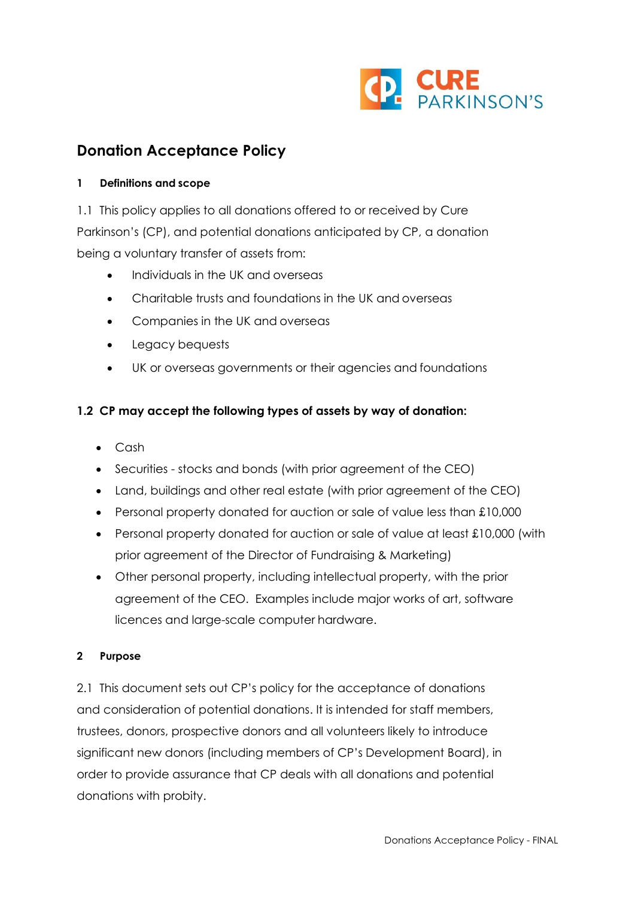

# **Donation Acceptance Policy**

#### **1 Definitions and scope**

1.1 This policy applies to all donations offered to or received by Cure Parkinson's (CP), and potential donations anticipated by CP, a donation being a voluntary transfer of assets from:

- Individuals in the UK and overseas
- Charitable trusts and foundations in the UK and overseas
- Companies in the UK and overseas
- Legacy bequests
- UK or overseas governments or their agencies and foundations

## **1.2 CP may accept the following types of assets by way of donation:**

- Cash
- Securities stocks and bonds (with prior agreement of the CEO)
- Land, buildings and other real estate (with prior agreement of the CEO)
- Personal property donated for auction or sale of value less than £10,000
- Personal property donated for auction or sale of value at least £10,000 (with prior agreement of the Director of Fundraising & Marketing)
- Other personal property, including intellectual property, with the prior agreement of the CEO. Examples include major works of art, software licences and large-scale computer hardware.

## **2 Purpose**

2.1 This document sets out CP's policy for the acceptance of donations and consideration of potential donations. It is intended for staff members, trustees, donors, prospective donors and all volunteers likely to introduce significant new donors (including members of CP's Development Board), in order to provide assurance that CP deals with all donations and potential donations with probity.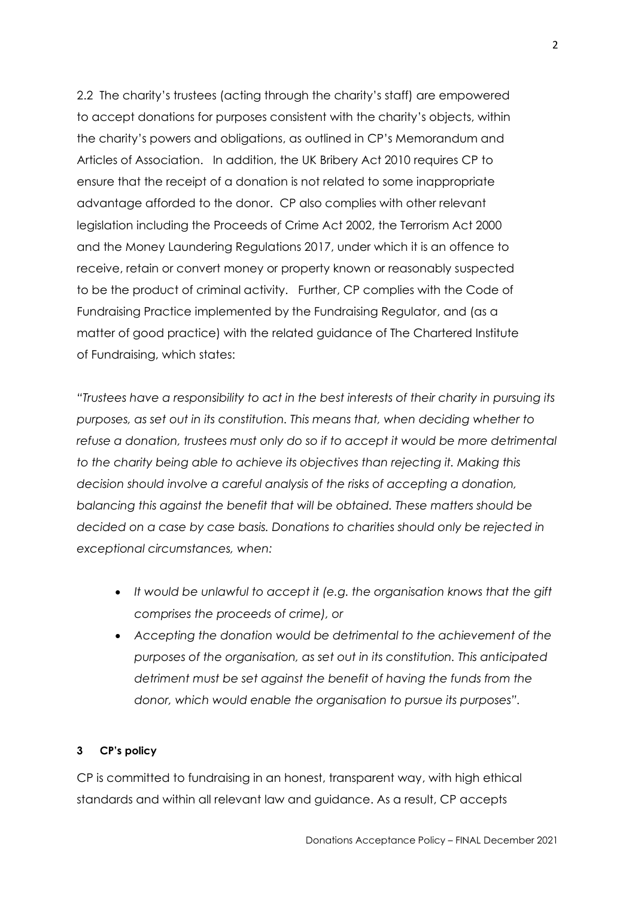2.2 The charity's trustees (acting through the charity's staff) are empowered to accept donations for purposes consistent with the charity's objects, within the charity's powers and obligations, as outlined in CP's Memorandum and Articles of Association. In addition, the UK Bribery Act 2010 requires CP to ensure that the receipt of a donation is not related to some inappropriate advantage afforded to the donor. CP also complies with other relevant legislation including the Proceeds of Crime Act 2002, the Terrorism Act 2000 and the Money Laundering Regulations 2017, under which it is an offence to receive, retain or convert money or property known or reasonably suspected to be the product of criminal activity. Further, CP complies with the Code of Fundraising Practice implemented by the Fundraising Regulator, and (as a matter of good practice) with the related guidance of The Chartered Institute of Fundraising, which states:

*"Trustees have a responsibility to act in the best interests of their charity in pursuing its purposes, as set out in its constitution. This means that, when deciding whether to refuse a donation, trustees must only do so if to accept it would be more detrimental to the charity being able to achieve its objectives than rejecting it. Making this decision should involve a careful analysis of the risks of accepting a donation, balancing this against the benefit that will be obtained. These matters should be decided on a case by case basis. Donations to charities should only be rejected in exceptional circumstances, when:*

- *It would be unlawful to accept it (e.g. the organisation knows that the gift comprises the proceeds of crime), or*
- *Accepting the donation would be detrimental to the achievement of the purposes of the organisation, as set out in its constitution. This anticipated detriment must be set against the benefit of having the funds from the donor, which would enable the organisation to pursue its purposes".*

## **3 CP's policy**

CP is committed to fundraising in an honest, transparent way, with high ethical standards and within all relevant law and guidance. As a result, CP accepts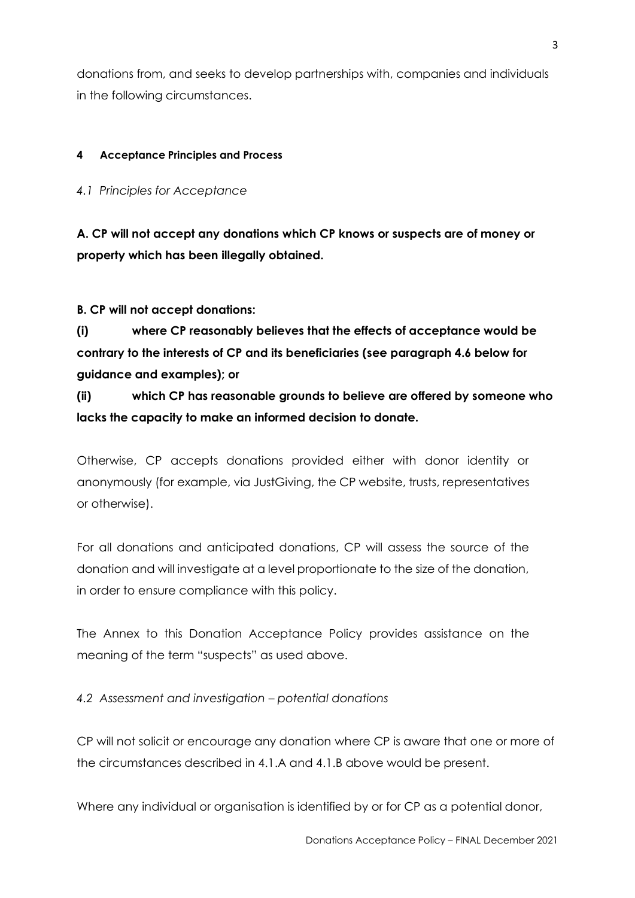donations from, and seeks to develop partnerships with, companies and individuals in the following circumstances.

## **4 Acceptance Principles and Process**

*4.1 Principles for Acceptance*

**A. CP will not accept any donations which CP knows or suspects are of money or property which has been illegally obtained.**

**B. CP will not accept donations:**

**(i) where CP reasonably believes that the effects of acceptance would be contrary to the interests of CP and its beneficiaries (see paragraph 4.6 below for guidance and examples); or**

**(ii) which CP has reasonable grounds to believe are offered by someone who lacks the capacity to make an informed decision to donate.**

Otherwise, CP accepts donations provided either with donor identity or anonymously (for example, via JustGiving, the CP website, trusts, representatives or otherwise).

For all donations and anticipated donations, CP will assess the source of the donation and will investigate at a level proportionate to the size of the donation, in order to ensure compliance with this policy.

The Annex to this Donation Acceptance Policy provides assistance on the meaning of the term "suspects" as used above.

# *4.2 Assessment and investigation – potential donations*

CP will not solicit or encourage any donation where CP is aware that one or more of the circumstances described in 4.1.A and 4.1.B above would be present.

Where any individual or organisation is identified by or for CP as a potential donor,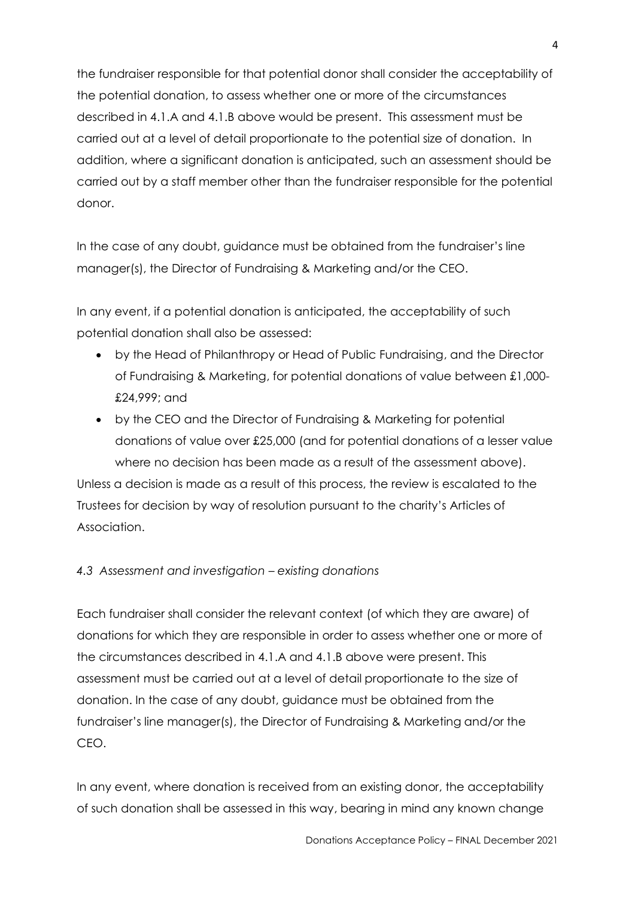the fundraiser responsible for that potential donor shall consider the acceptability of the potential donation, to assess whether one or more of the circumstances described in 4.1.A and 4.1.B above would be present. This assessment must be carried out at a level of detail proportionate to the potential size of donation. In addition, where a significant donation is anticipated, such an assessment should be carried out by a staff member other than the fundraiser responsible for the potential donor.

In the case of any doubt, guidance must be obtained from the fundraiser's line manager(s), the Director of Fundraising & Marketing and/or the CEO.

In any event, if a potential donation is anticipated, the acceptability of such potential donation shall also be assessed:

- by the Head of Philanthropy or Head of Public Fundraising, and the Director of Fundraising & Marketing, for potential donations of value between £1,000- £24,999; and
- by the CEO and the Director of Fundraising & Marketing for potential donations of value over £25,000 (and for potential donations of a lesser value where no decision has been made as a result of the assessment above).

Unless a decision is made as a result of this process, the review is escalated to the Trustees for decision by way of resolution pursuant to the charity's Articles of Association.

# *4.3 Assessment and investigation – existing donations*

Each fundraiser shall consider the relevant context (of which they are aware) of donations for which they are responsible in order to assess whether one or more of the circumstances described in 4.1.A and 4.1.B above were present. This assessment must be carried out at a level of detail proportionate to the size of donation. In the case of any doubt, guidance must be obtained from the fundraiser's line manager(s), the Director of Fundraising & Marketing and/or the CEO.

In any event, where donation is received from an existing donor, the acceptability of such donation shall be assessed in this way, bearing in mind any known change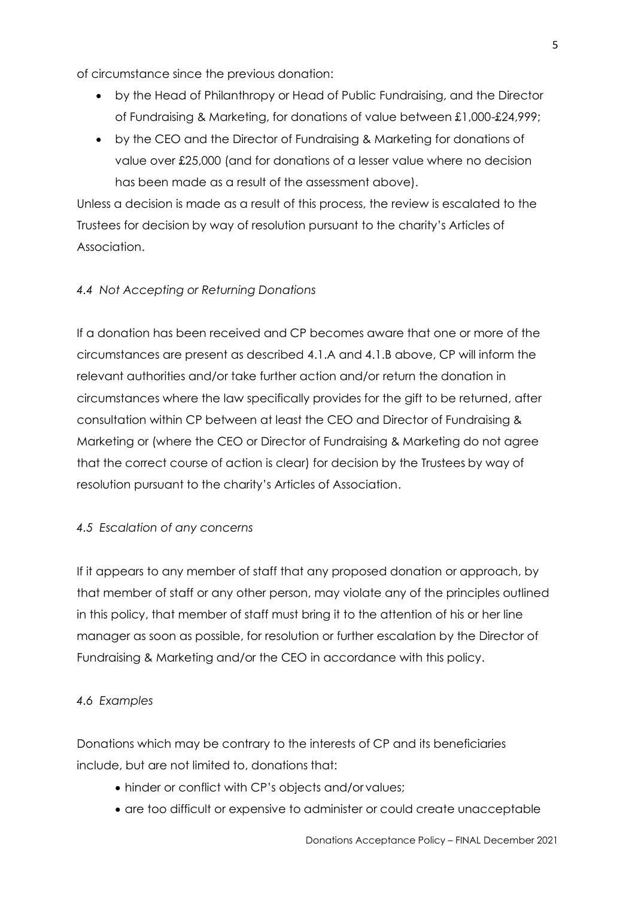of circumstance since the previous donation:

- by the Head of Philanthropy or Head of Public Fundraising, and the Director of Fundraising & Marketing, for donations of value between £1,000-£24,999;
- by the CEO and the Director of Fundraising & Marketing for donations of value over £25,000 (and for donations of a lesser value where no decision has been made as a result of the assessment above).

Unless a decision is made as a result of this process, the review is escalated to the Trustees for decision by way of resolution pursuant to the charity's Articles of Association.

## *4.4 Not Accepting or Returning Donations*

If a donation has been received and CP becomes aware that one or more of the circumstances are present as described 4.1.A and 4.1.B above, CP will inform the relevant authorities and/or take further action and/or return the donation in circumstances where the law specifically provides for the gift to be returned, after consultation within CP between at least the CEO and Director of Fundraising & Marketing or (where the CEO or Director of Fundraising & Marketing do not agree that the correct course of action is clear) for decision by the Trustees by way of resolution pursuant to the charity's Articles of Association.

## *4.5 Escalation of any concerns*

If it appears to any member of staff that any proposed donation or approach, by that member of staff or any other person, may violate any of the principles outlined in this policy, that member of staff must bring it to the attention of his or her line manager as soon as possible, for resolution or further escalation by the Director of Fundraising & Marketing and/or the CEO in accordance with this policy.

#### *4.6 Examples*

Donations which may be contrary to the interests of CP and its beneficiaries include, but are not limited to, donations that:

- hinder or conflict with CP's objects and/or values;
- are too difficult or expensive to administer or could create unacceptable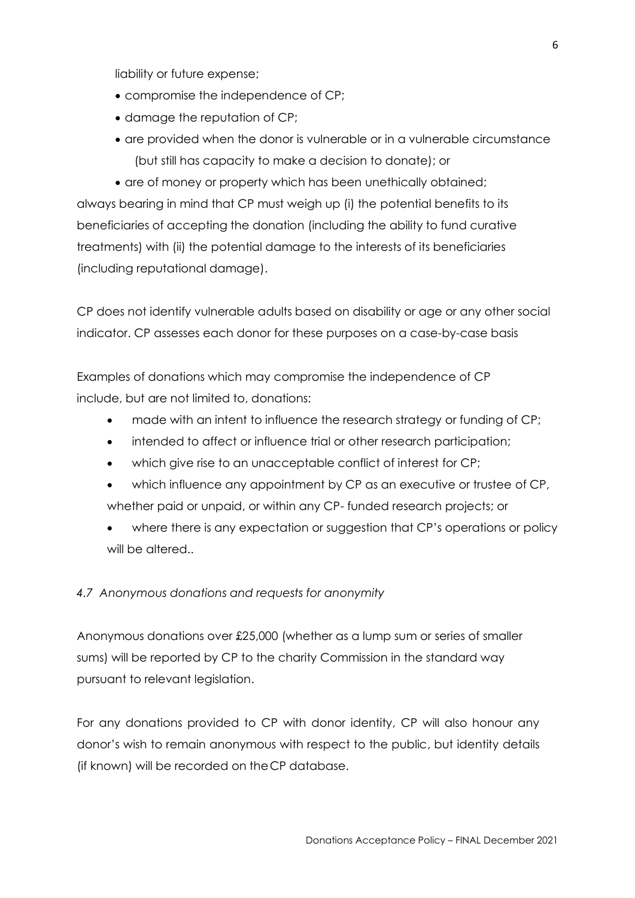liability or future expense;

- compromise the independence of CP;
- damage the reputation of CP;
- are provided when the donor is vulnerable or in a vulnerable circumstance (but still has capacity to make a decision to donate); or

• are of money or property which has been unethically obtained; always bearing in mind that CP must weigh up (i) the potential benefits to its beneficiaries of accepting the donation (including the ability to fund curative treatments) with (ii) the potential damage to the interests of its beneficiaries (including reputational damage).

CP does not identify vulnerable adults based on disability or age or any other social indicator. CP assesses each donor for these purposes on a case-by-case basis

Examples of donations which may compromise the independence of CP include, but are not limited to, donations:

- made with an intent to influence the research strategy or funding of CP;
- intended to affect or influence trial or other research participation;
- which give rise to an unacceptable conflict of interest for CP;
- which influence any appointment by CP as an executive or trustee of CP, whether paid or unpaid, or within any CP- funded research projects; or
- where there is any expectation or suggestion that CP's operations or policy will be altered..

#### *4.7 Anonymous donations and requests for anonymity*

Anonymous donations over £25,000 (whether as a lump sum or series of smaller sums) will be reported by CP to the charity Commission in the standard way pursuant to relevant legislation.

For any donations provided to CP with donor identity, CP will also honour any donor's wish to remain anonymous with respect to the public, but identity details (if known) will be recorded on theCP database.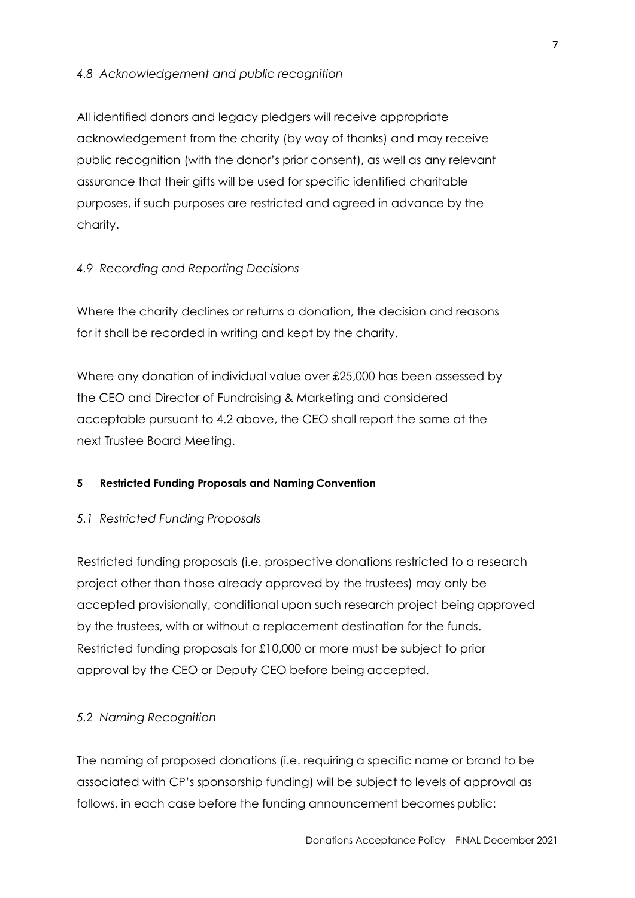## *4.8 Acknowledgement and public recognition*

All identified donors and legacy pledgers will receive appropriate acknowledgement from the charity (by way of thanks) and may receive public recognition (with the donor's prior consent), as well as any relevant assurance that their gifts will be used for specific identified charitable purposes, if such purposes are restricted and agreed in advance by the charity.

#### *4.9 Recording and Reporting Decisions*

Where the charity declines or returns a donation, the decision and reasons for it shall be recorded in writing and kept by the charity.

Where any donation of individual value over £25,000 has been assessed by the CEO and Director of Fundraising & Marketing and considered acceptable pursuant to 4.2 above, the CEO shall report the same at the next Trustee Board Meeting.

#### **5 Restricted Funding Proposals and Naming Convention**

#### *5.1 Restricted Funding Proposals*

Restricted funding proposals (i.e. prospective donations restricted to a research project other than those already approved by the trustees) may only be accepted provisionally, conditional upon such research project being approved by the trustees, with or without a replacement destination for the funds. Restricted funding proposals for £10,000 or more must be subject to prior approval by the CEO or Deputy CEO before being accepted.

#### *5.2 Naming Recognition*

The naming of proposed donations (i.e. requiring a specific name or brand to be associated with CP's sponsorship funding) will be subject to levels of approval as follows, in each case before the funding announcement becomes public: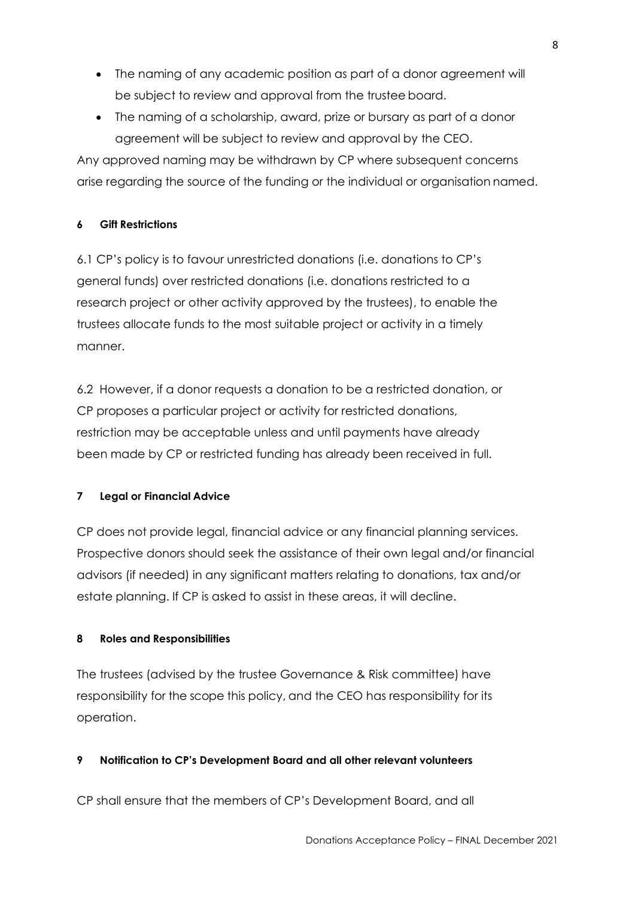- The naming of any academic position as part of a donor agreement will be subject to review and approval from the trustee board.
- The naming of a scholarship, award, prize or bursary as part of a donor agreement will be subject to review and approval by the CEO.

Any approved naming may be withdrawn by CP where subsequent concerns arise regarding the source of the funding or the individual or organisation named.

## **6 Gift Restrictions**

6.1 CP's policy is to favour unrestricted donations (i.e. donations to CP's general funds) over restricted donations (i.e. donations restricted to a research project or other activity approved by the trustees), to enable the trustees allocate funds to the most suitable project or activity in a timely manner.

6.2 However, if a donor requests a donation to be a restricted donation, or CP proposes a particular project or activity for restricted donations, restriction may be acceptable unless and until payments have already been made by CP or restricted funding has already been received in full.

# **7 Legal or Financial Advice**

CP does not provide legal, financial advice or any financial planning services. Prospective donors should seek the assistance of their own legal and/or financial advisors (if needed) in any significant matters relating to donations, tax and/or estate planning. If CP is asked to assist in these areas, it will decline.

## **8 Roles and Responsibilities**

The trustees (advised by the trustee Governance & Risk committee) have responsibility for the scope this policy, and the CEO has responsibility for its operation.

# **9 Notification to CP's Development Board and all other relevant volunteers**

CP shall ensure that the members of CP's Development Board, and all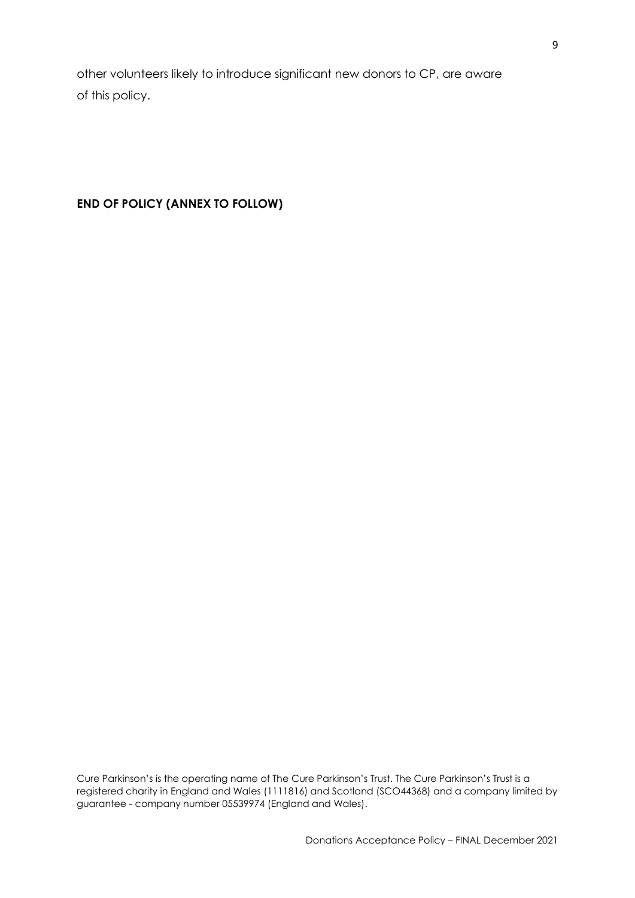other volunteers likely to introduce significant new donors to CP, are aware of this policy.

**END OF POLICY (ANNEX TO FOLLOW)**

Cure Parkinson's is the operating name of The Cure Parkinson's Trust. The Cure Parkinson's Trust is a registered charity in England and Wales (1111816) and Scotland (SCO44368) and a company limited by guarantee - company number 05539974 (England and Wales).